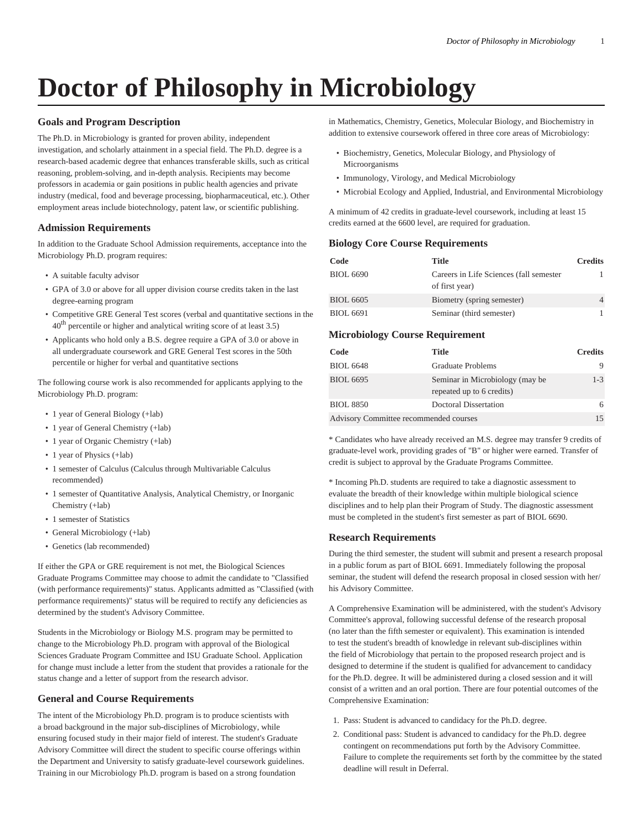# **Doctor of Philosophy in Microbiology**

# **Goals and Program Description**

The Ph.D. in Microbiology is granted for proven ability, independent investigation, and scholarly attainment in a special field. The Ph.D. degree is a research-based academic degree that enhances transferable skills, such as critical reasoning, problem-solving, and in-depth analysis. Recipients may become professors in academia or gain positions in public health agencies and private industry (medical, food and beverage processing, biopharmaceutical, etc.). Other employment areas include biotechnology, patent law, or scientific publishing.

## **Admission Requirements**

In addition to the Graduate School Admission requirements, acceptance into the Microbiology Ph.D. program requires:

- A suitable faculty advisor
- GPA of 3.0 or above for all upper division course credits taken in the last degree-earning program
- Competitive GRE General Test scores (verbal and quantitative sections in the  $40<sup>th</sup>$  percentile or higher and analytical writing score of at least 3.5)
- Applicants who hold only a B.S. degree require a GPA of 3.0 or above in all undergraduate coursework and GRE General Test scores in the 50th percentile or higher for verbal and quantitative sections

The following course work is also recommended for applicants applying to the Microbiology Ph.D. program:

- 1 year of General Biology (+lab)
- 1 year of General Chemistry (+lab)
- 1 year of Organic Chemistry (+lab)
- 1 year of Physics (+lab)
- 1 semester of Calculus (Calculus through Multivariable Calculus recommended)
- 1 semester of Quantitative Analysis, Analytical Chemistry, or Inorganic Chemistry (+lab)
- 1 semester of Statistics
- General Microbiology (+lab)
- Genetics (lab recommended)

If either the GPA or GRE requirement is not met, the Biological Sciences Graduate Programs Committee may choose to admit the candidate to "Classified (with performance requirements)" status. Applicants admitted as "Classified (with performance requirements)" status will be required to rectify any deficiencies as determined by the student's Advisory Committee.

Students in the Microbiology or Biology M.S. program may be permitted to change to the Microbiology Ph.D. program with approval of the Biological Sciences Graduate Program Committee and ISU Graduate School. Application for change must include a letter from the student that provides a rationale for the status change and a letter of support from the research advisor.

# **General and Course Requirements**

The intent of the Microbiology Ph.D. program is to produce scientists with a broad background in the major sub-disciplines of Microbiology, while ensuring focused study in their major field of interest. The student's Graduate Advisory Committee will direct the student to specific course offerings within the Department and University to satisfy graduate-level coursework guidelines. Training in our Microbiology Ph.D. program is based on a strong foundation

in Mathematics, Chemistry, Genetics, Molecular Biology, and Biochemistry in addition to extensive coursework offered in three core areas of Microbiology:

- Biochemistry, Genetics, Molecular Biology, and Physiology of Microorganisms
- Immunology, Virology, and Medical Microbiology
- Microbial Ecology and Applied, Industrial, and Environmental Microbiology

A minimum of 42 credits in graduate-level coursework, including at least 15 credits earned at the 6600 level, are required for graduation.

#### **Biology Core Course Requirements**

| Code             | Title                                                     | <b>Credits</b> |
|------------------|-----------------------------------------------------------|----------------|
| BIOL 6690        | Careers in Life Sciences (fall semester<br>of first year) |                |
| <b>BIOL 6605</b> | Biometry (spring semester)                                |                |
| BIOL 6691        | Seminar (third semester)                                  |                |

## **Microbiology Course Requirement**

| Code                                   | Title                                                        | <b>Credits</b> |
|----------------------------------------|--------------------------------------------------------------|----------------|
| <b>BIOL 6648</b>                       | <b>Graduate Problems</b>                                     | 9              |
| <b>BIOL 6695</b>                       | Seminar in Microbiology (may be<br>repeated up to 6 credits) | $1 - 3$        |
| <b>BIOL 8850</b>                       | Doctoral Dissertation                                        | 6              |
| Advisory Committee recommended courses |                                                              | 15             |

\* Candidates who have already received an M.S. degree may transfer 9 credits of graduate-level work, providing grades of "B" or higher were earned. Transfer of credit is subject to approval by the Graduate Programs Committee.

\* Incoming Ph.D. students are required to take a diagnostic assessment to evaluate the breadth of their knowledge within multiple biological science disciplines and to help plan their Program of Study. The diagnostic assessment must be completed in the student's first semester as part of BIOL 6690.

## **Research Requirements**

During the third semester, the student will submit and present a research proposal in a public forum as part of BIOL 6691. Immediately following the proposal seminar, the student will defend the research proposal in closed session with her/ his Advisory Committee.

A Comprehensive Examination will be administered, with the student's Advisory Committee's approval, following successful defense of the research proposal (no later than the fifth semester or equivalent). This examination is intended to test the student's breadth of knowledge in relevant sub-disciplines within the field of Microbiology that pertain to the proposed research project and is designed to determine if the student is qualified for advancement to candidacy for the Ph.D. degree. It will be administered during a closed session and it will consist of a written and an oral portion. There are four potential outcomes of the Comprehensive Examination:

- 1. Pass: Student is advanced to candidacy for the Ph.D. degree.
- 2. Conditional pass: Student is advanced to candidacy for the Ph.D. degree contingent on recommendations put forth by the Advisory Committee. Failure to complete the requirements set forth by the committee by the stated deadline will result in Deferral.